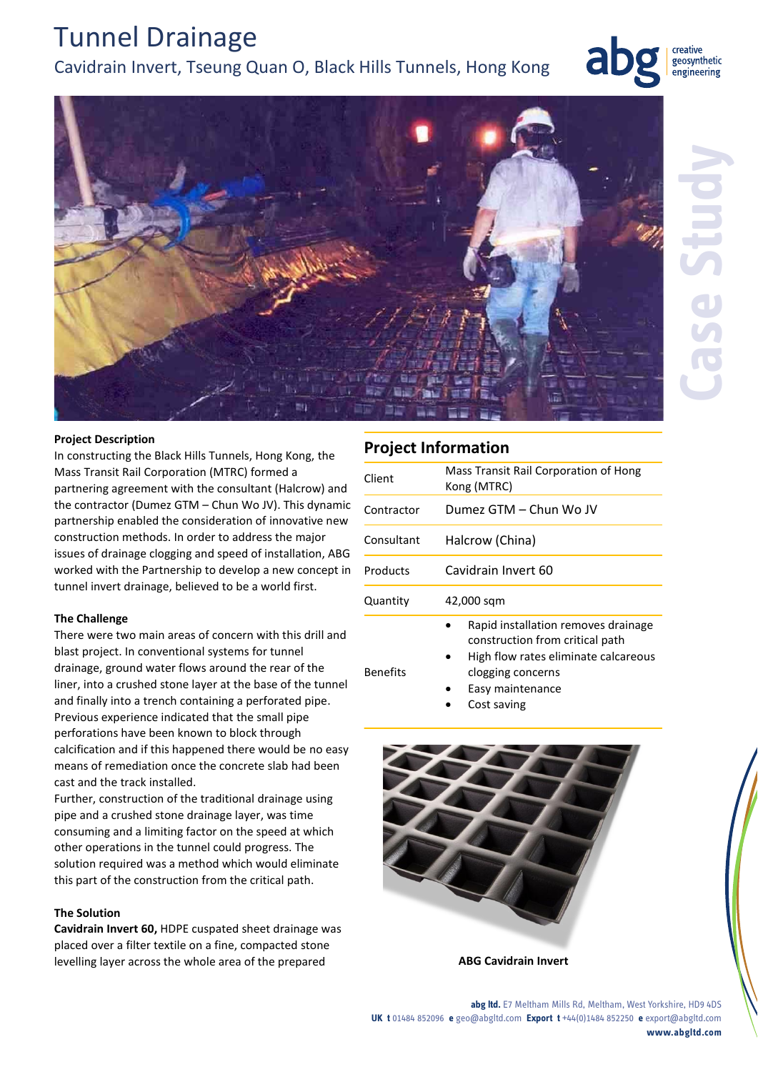#### **abg ltd.** E7 Meltham Mills Rd, Meltham, West Yorkshire, HD9 4DS **UK t** 01484 852096 **e** geo@abgltd.com **Export t** +44(0)1484 852250 **e** export@abgltd.com **www.abgltd.com**

Tunnel Drainage Cavidrain Invert, Tseung Quan O, Black Hills Tunnels, Hong Kong

### **Project Description**

In constructing the Black Hills Tunnels, Hong Kong, the Mass Transit Rail Corporation (MTRC) formed a partnering agreement with the consultant (Halcrow) and the contractor (Dumez GTM – Chun Wo JV). This dynamic partnership enabled the consideration of innovative new construction methods. In order to address the major issues of drainage clogging and speed of installation, ABG worked with the Partnership to develop a new concept in tunnel invert drainage, believed to be a world first.

#### **The Challenge**

There were two main areas of concern with this drill and blast project. In conventional systems for tunnel drainage, ground water flows around the rear of the liner, into a crushed stone layer at the base of the tunnel and finally into a trench containing a perforated pipe. Previous experience indicated that the small pipe perforations have been known to block through calcification and if this happened there would be no easy means of remediation once the concrete slab had been cast and the track installed.

Further, construction of the traditional drainage using pipe and a crushed stone drainage layer, was time consuming and a limiting factor on the speed at which other operations in the tunnel could progress. The solution required was a method which would eliminate this part of the construction from the critical path.

#### **The Solution**

**Cavidrain Invert 60,** HDPE cuspated sheet drainage was placed over a filter textile on a fine, compacted stone levelling layer across the whole area of the prepared **ABG Cavidrain Invert**

|  | <b>Project Information</b> |
|--|----------------------------|
|  |                            |

| C<br>٦ | Client          | Mass Transit Rail Corporation of Hong<br>Kong (MTRC)                                                                                                    |
|--------|-----------------|---------------------------------------------------------------------------------------------------------------------------------------------------------|
|        | Contractor      | Dumez GTM - Chun Wo JV                                                                                                                                  |
|        | Consultant      | Halcrow (China)                                                                                                                                         |
|        | Products        | Cavidrain Invert 60                                                                                                                                     |
|        | Quantity        | 42,000 sqm                                                                                                                                              |
|        | <b>Benefits</b> | Rapid installation removes drainage<br>construction from critical path<br>High flow rates eliminate calcareous<br>clogging concerns<br>Easy maintenance |

Cost saving



creative geosynthetic engineering